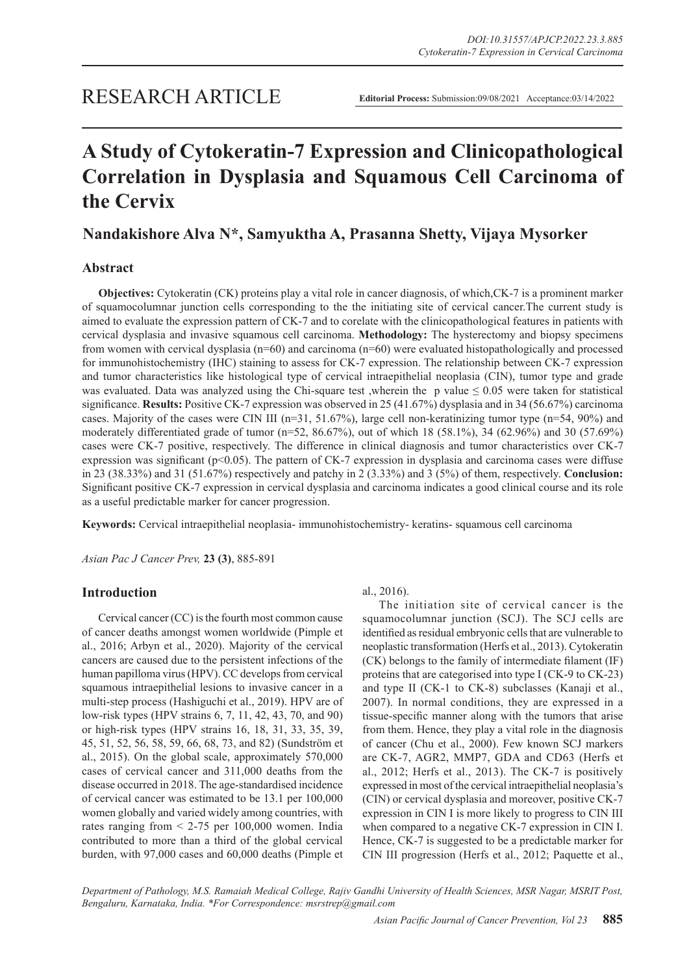# **A Study of Cytokeratin-7 Expression and Clinicopathological Correlation in Dysplasia and Squamous Cell Carcinoma of the Cervix**

## **Nandakishore Alva N\*, Samyuktha A, Prasanna Shetty, Vijaya Mysorker**

## **Abstract**

**Objectives:** Cytokeratin (CK) proteins play a vital role in cancer diagnosis, of which,CK-7 is a prominent marker of squamocolumnar junction cells corresponding to the the initiating site of cervical cancer.The current study is aimed to evaluate the expression pattern of CK-7 and to corelate with the clinicopathological features in patients with cervical dysplasia and invasive squamous cell carcinoma. **Methodology:** The hysterectomy and biopsy specimens from women with cervical dysplasia (n=60) and carcinoma (n=60) were evaluated histopathologically and processed for immunohistochemistry (IHC) staining to assess for CK-7 expression. The relationship between CK-7 expression and tumor characteristics like histological type of cervical intraepithelial neoplasia (CIN), tumor type and grade was evaluated. Data was analyzed using the Chi-square test ,wherein the p value  $\leq 0.05$  were taken for statistical significance. **Results:** Positive CK-7 expression was observed in 25 (41.67%) dysplasia and in 34 (56.67%) carcinoma cases. Majority of the cases were CIN III (n=31, 51.67%), large cell non-keratinizing tumor type (n=54, 90%) and moderately differentiated grade of tumor (n=52, 86.67%), out of which 18 (58.1%), 34 (62.96%) and 30 (57.69%) cases were CK-7 positive, respectively. The difference in clinical diagnosis and tumor characteristics over CK-7 expression was significant (p<0.05). The pattern of CK-7 expression in dysplasia and carcinoma cases were diffuse in 23 (38.33%) and 31 (51.67%) respectively and patchy in 2 (3.33%) and 3 (5%) of them, respectively. **Conclusion:**  Significant positive CK-7 expression in cervical dysplasia and carcinoma indicates a good clinical course and its role as a useful predictable marker for cancer progression.

**Keywords:** Cervical intraepithelial neoplasia- immunohistochemistry- keratins- squamous cell carcinoma

*Asian Pac J Cancer Prev,* **23 (3)**, 885-891

## **Introduction**

Cervical cancer (CC) is the fourth most common cause of cancer deaths amongst women worldwide (Pimple et al., 2016; Arbyn et al., 2020). Majority of the cervical cancers are caused due to the persistent infections of the human papilloma virus (HPV). CC develops from cervical squamous intraepithelial lesions to invasive cancer in a multi-step process (Hashiguchi et al., 2019). HPV are of low-risk types (HPV strains 6, 7, 11, 42, 43, 70, and 90) or high-risk types (HPV strains 16, 18, 31, 33, 35, 39, 45, 51, 52, 56, 58, 59, 66, 68, 73, and 82) (Sundström et al., 2015). On the global scale, approximately 570,000 cases of cervical cancer and 311,000 deaths from the disease occurred in 2018. The age-standardised incidence of cervical cancer was estimated to be 13.1 per 100,000 women globally and varied widely among countries, with rates ranging from  $\leq$  2-75 per 100,000 women. India contributed to more than a third of the global cervical burden, with 97,000 cases and 60,000 deaths (Pimple et

al., 2016).

The initiation site of cervical cancer is the squamocolumnar junction (SCJ). The SCJ cells are identified as residual embryonic cells that are vulnerable to neoplastic transformation (Herfs et al., 2013). Cytokeratin (CK) belongs to the family of intermediate filament (IF) proteins that are categorised into type I (CK-9 to CK-23) and type II (CK-1 to CK-8) subclasses (Kanaji et al., 2007). In normal conditions, they are expressed in a tissue-specific manner along with the tumors that arise from them. Hence, they play a vital role in the diagnosis of cancer (Chu et al., 2000). Few known SCJ markers are CK-7, AGR2, MMP7, GDA and CD63 (Herfs et al., 2012; Herfs et al., 2013). The CK-7 is positively expressed in most of the cervical intraepithelial neoplasia's (CIN) or cervical dysplasia and moreover, positive CK-7 expression in CIN I is more likely to progress to CIN III when compared to a negative CK-7 expression in CIN I. Hence, CK-7 is suggested to be a predictable marker for CIN III progression (Herfs et al., 2012; Paquette et al.,

*Department of Pathology, M.S. Ramaiah Medical College, Rajiv Gandhi University of Health Sciences, MSR Nagar, MSRIT Post, Bengaluru, Karnataka, India. \*For Correspondence: msrstrep@gmail.com*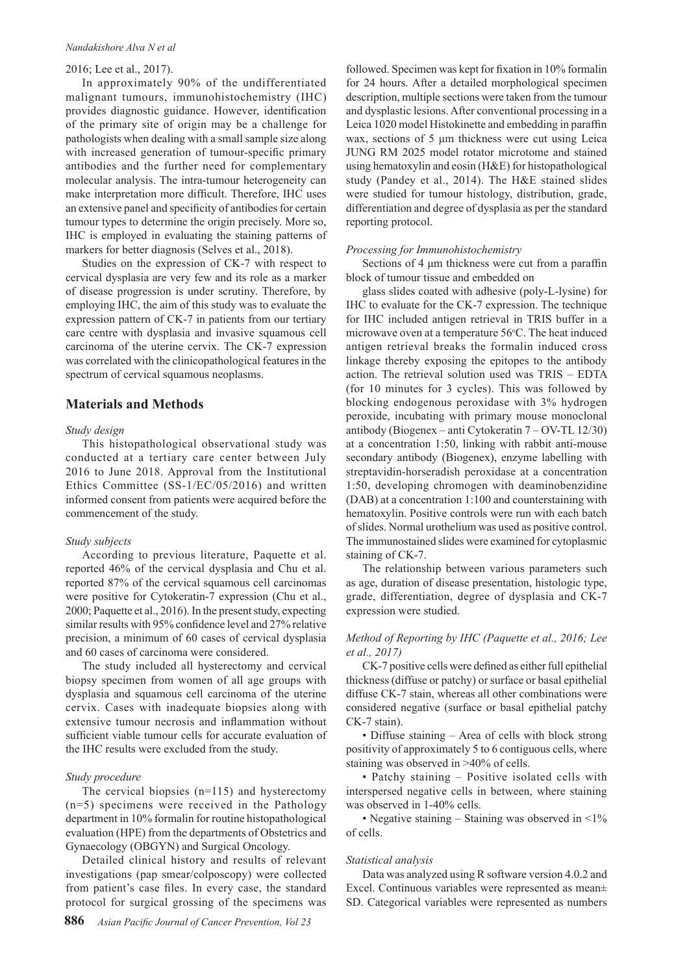#### *Nandakishore Alva N et al*

#### 2016; Lee et al., 2017).

In approximately 90% of the undifferentiated malignant tumours, immunohistochemistry (IHC) provides diagnostic guidance. However, identification of the primary site of origin may be a challenge for pathologists when dealing with a small sample size along with increased generation of tumour-specific primary antibodies and the further need for complementary molecular analysis. The intra-tumour heterogeneity can make interpretation more difficult. Therefore, IHC uses an extensive panel and specificity of antibodies for certain tumour types to determine the origin precisely. More so, IHC is employed in evaluating the staining patterns of markers for better diagnosis (Selves et al., 2018).

Studies on the expression of CK-7 with respect to cervical dysplasia are very few and its role as a marker of disease progression is under scrutiny. Therefore, by employing IHC, the aim of this study was to evaluate the expression pattern of CK-7 in patients from our tertiary care centre with dysplasia and invasive squamous cell carcinoma of the uterine cervix. The CK-7 expression was correlated with the clinicopathological features in the spectrum of cervical squamous neoplasms.

## **Materials and Methods**

#### *Study design*

This histopathological observational study was conducted at a tertiary care center between July 2016 to June 2018. Approval from the Institutional Ethics Committee (SS-1/EC/05/2016) and written informed consent from patients were acquired before the commencement of the study.

#### *Study subjects*

According to previous literature, Paquette et al. reported 46% of the cervical dysplasia and Chu et al. reported 87% of the cervical squamous cell carcinomas were positive for Cytokeratin-7 expression (Chu et al., 2000; Paquette et al., 2016). In the present study, expecting similar results with 95% confidence level and 27% relative precision, a minimum of 60 cases of cervical dysplasia and 60 cases of carcinoma were considered.

The study included all hysterectomy and cervical biopsy specimen from women of all age groups with dysplasia and squamous cell carcinoma of the uterine cervix. Cases with inadequate biopsies along with extensive tumour necrosis and inflammation without sufficient viable tumour cells for accurate evaluation of the IHC results were excluded from the study.

#### *Study procedure*

The cervical biopsies (n=115) and hysterectomy (n=5) specimens were received in the Pathology department in 10% formalin for routine histopathological evaluation (HPE) from the departments of Obstetrics and Gynaecology (OBGYN) and Surgical Oncology.

Detailed clinical history and results of relevant investigations (pap smear/colposcopy) were collected from patient's case files. In every case, the standard protocol for surgical grossing of the specimens was

followed. Specimen was kept for fixation in 10% formalin for 24 hours. After a detailed morphological specimen description, multiple sections were taken from the tumour and dysplastic lesions. After conventional processing in a Leica 1020 model Histokinette and embedding in paraffin wax, sections of 5 μm thickness were cut using Leica JUNG RM 2025 model rotator microtome and stained using hematoxylin and eosin (H&E) for histopathological study (Pandey et al., 2014). The H&E stained slides were studied for tumour histology, distribution, grade, differentiation and degree of dysplasia as per the standard reporting protocol.

#### *Processing for Immunohistochemistry*

Sections of 4 μm thickness were cut from a paraffin block of tumour tissue and embedded on

glass slides coated with adhesive (poly-L-lysine) for IHC to evaluate for the CK-7 expression. The technique for IHC included antigen retrieval in TRIS buffer in a microwave oven at a temperature 56°C. The heat induced antigen retrieval breaks the formalin induced cross linkage thereby exposing the epitopes to the antibody action. The retrieval solution used was TRIS – EDTA (for 10 minutes for 3 cycles). This was followed by blocking endogenous peroxidase with 3% hydrogen peroxide, incubating with primary mouse monoclonal antibody (Biogenex – anti Cytokeratin 7 – OV-TL 12/30) at a concentration 1:50, linking with rabbit anti-mouse secondary antibody (Biogenex), enzyme labelling with streptavidin-horseradish peroxidase at a concentration 1:50, developing chromogen with deaminobenzidine (DAB) at a concentration 1:100 and counterstaining with hematoxylin. Positive controls were run with each batch of slides. Normal urothelium was used as positive control. The immunostained slides were examined for cytoplasmic staining of CK-7.

The relationship between various parameters such as age, duration of disease presentation, histologic type, grade, differentiation, degree of dysplasia and CK-7 expression were studied.

#### *Method of Reporting by IHC (Paquette et al., 2016; Lee et al., 2017)*

CK-7 positive cells were defined as either full epithelial thickness (diffuse or patchy) or surface or basal epithelial diffuse CK-7 stain, whereas all other combinations were considered negative (surface or basal epithelial patchy CK-7 stain).

• Diffuse staining – Area of cells with block strong positivity of approximately 5 to 6 contiguous cells, where staining was observed in >40% of cells.

• Patchy staining – Positive isolated cells with interspersed negative cells in between, where staining was observed in 1-40% cells.

• Negative staining – Staining was observed in  $\leq 1\%$ of cells.

#### *Statistical analysis*

Data was analyzed using R software version 4.0.2 and Excel. Continuous variables were represented as mean± SD. Categorical variables were represented as numbers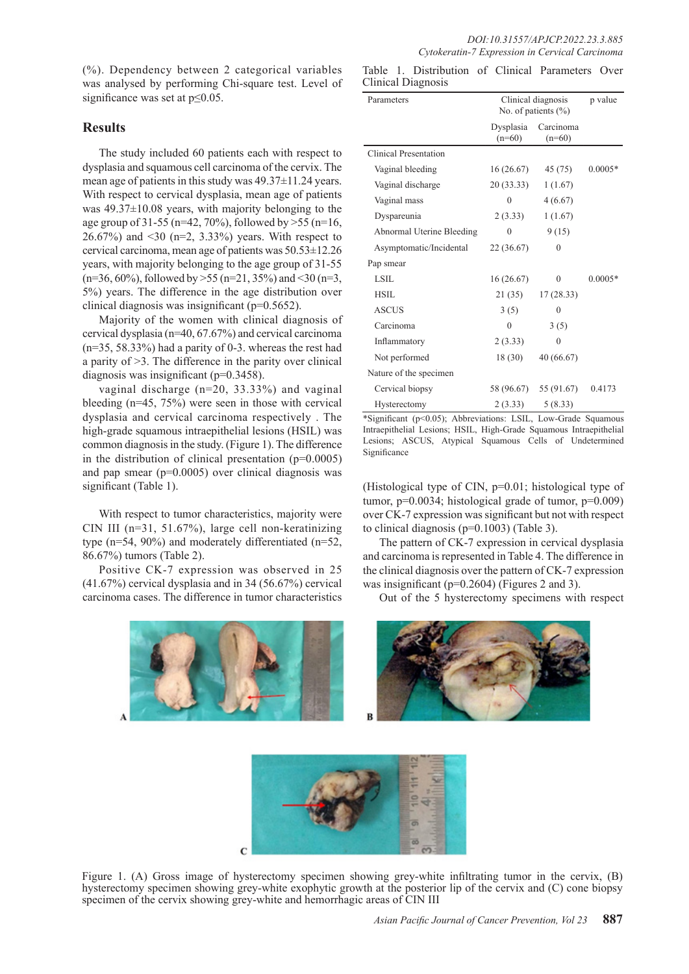(%). Dependency between 2 categorical variables was analysed by performing Chi-square test. Level of significance was set at p≤0.05.

## **Results**

The study included 60 patients each with respect to dysplasia and squamous cell carcinoma of the cervix. The mean age of patients in this study was 49.37±11.24 years. With respect to cervical dysplasia, mean age of patients was 49.37±10.08 years, with majority belonging to the age group of 31-55 (n=42, 70%), followed by  $>55$  (n=16, 26.67%) and <30 (n=2, 3.33%) years. With respect to cervical carcinoma, mean age of patients was 50.53±12.26 years, with majority belonging to the age group of 31-55  $(n=36, 60\%)$ , followed by  $>55$  (n=21, 35%) and <30 (n=3, 5%) years. The difference in the age distribution over clinical diagnosis was insignificant (p=0.5652).

Majority of the women with clinical diagnosis of cervical dysplasia (n=40, 67.67%) and cervical carcinoma (n=35, 58.33%) had a parity of 0-3. whereas the rest had a parity of >3. The difference in the parity over clinical diagnosis was insignificant (p=0.3458).

vaginal discharge (n=20, 33.33%) and vaginal bleeding (n=45, 75%) were seen in those with cervical dysplasia and cervical carcinoma respectively . The high-grade squamous intraepithelial lesions (HSIL) was common diagnosis in the study. (Figure 1). The difference in the distribution of clinical presentation  $(p=0.0005)$ and pap smear (p=0.0005) over clinical diagnosis was significant (Table 1).

With respect to tumor characteristics, majority were CIN III (n=31, 51.67%), large cell non-keratinizing type (n=54, 90%) and moderately differentiated (n=52, 86.67%) tumors (Table 2).

Positive CK-7 expression was observed in 25 (41.67%) cervical dysplasia and in 34 (56.67%) cervical carcinoma cases. The difference in tumor characteristics



Table 1. Distribution of Clinical Parameters Over Clinical Diagnosis

| Parameters                | Clinical diagnosis<br>No. of patients $(\% )$ |                       | p value   |
|---------------------------|-----------------------------------------------|-----------------------|-----------|
|                           | Dysplasia<br>$(n=60)$                         | Carcinoma<br>$(n=60)$ |           |
| Clinical Presentation     |                                               |                       |           |
| Vaginal bleeding          | 16(26.67)                                     | 45(75)                | $0.0005*$ |
| Vaginal discharge         | 20 (33.33)                                    | 1(1.67)               |           |
| Vaginal mass              | $\theta$                                      | 4(6.67)               |           |
| Dyspareunia               | 2(3.33)                                       | 1(1.67)               |           |
| Abnormal Uterine Bleeding | $\Omega$                                      | 9(15)                 |           |
| Asymptomatic/Incidental   | 22 (36.67)                                    | $\theta$              |           |
| Pap smear                 |                                               |                       |           |
| LSIL                      | 16(26.67)                                     | $\theta$              | $0.0005*$ |
| HSIL                      | 21 (35)                                       | 17(28.33)             |           |
| <b>ASCUS</b>              | 3(5)                                          | 0                     |           |
| Carcinoma                 | $\theta$                                      | 3(5)                  |           |
| Inflammatory              | 2(3.33)                                       | 0                     |           |
| Not performed             | 18(30)                                        | 40 (66.67)            |           |
| Nature of the specimen    |                                               |                       |           |
| Cervical biopsy           | 58 (96.67)                                    | 55 (91.67)            | 0.4173    |
| Hysterectomy              | 2(3.33)                                       | 5(8.33)               |           |

\*Significant (p<0.05); Abbreviations: LSIL, Low-Grade Squamous Intraepithelial Lesions; HSIL, High-Grade Squamous Intraepithelial Lesions; ASCUS, Atypical Squamous Cells of Undetermined Significance

(Histological type of CIN, p=0.01; histological type of tumor,  $p=0.0034$ ; histological grade of tumor,  $p=0.009$ ) over CK-7 expression was significant but not with respect to clinical diagnosis (p=0.1003) (Table 3).

The pattern of CK-7 expression in cervical dysplasia and carcinoma is represented in Table 4. The difference in the clinical diagnosis over the pattern of CK-7 expression was insignificant (p=0.2604) (Figures 2 and 3).

Out of the 5 hysterectomy specimens with respect





Figure 1. (A) Gross image of hysterectomy specimen showing grey-white infiltrating tumor in the cervix, (B) hysterectomy specimen showing grey-white exophytic growth at the posterior lip of the cervix and (C) cone biopsy specimen of the cervix showing grey-white and hemorrhagic areas of CIN III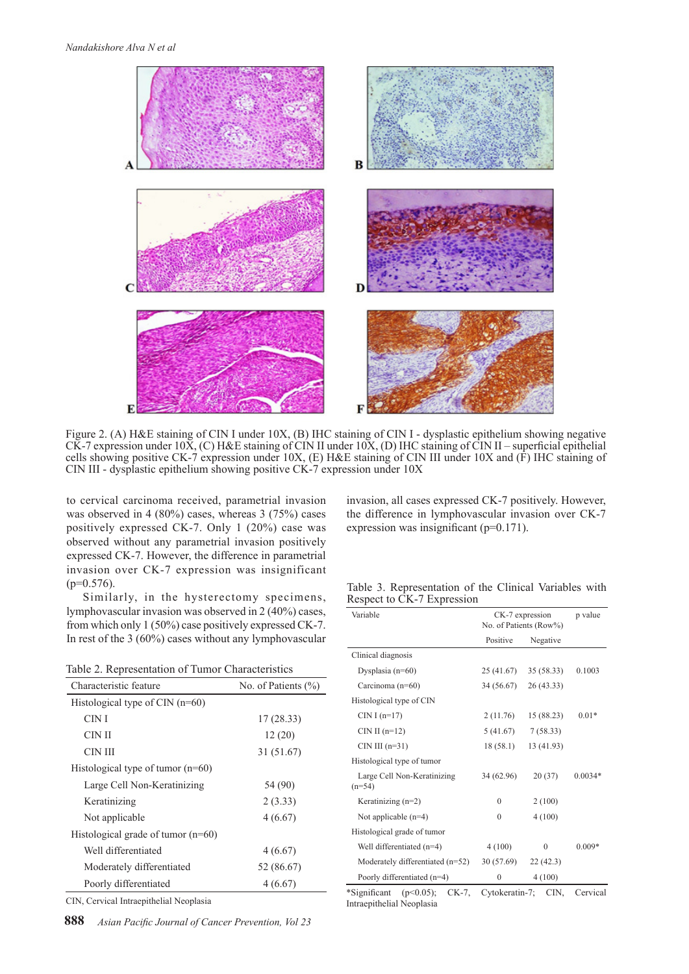

Figure 2. (A) H&E staining of CIN I under 10X, (B) IHC staining of CIN I - dysplastic epithelium showing negative CK-7 expression under 10X, (C) H&E staining of CIN II under 10X, (D) IHC staining of CIN II – superficial epithelial cells showing positive CK-7 expression under 10X, (E) H&E staining of CIN III under 10X and (F) IHC staining of CIN III - dysplastic epithelium showing positive CK-7 expression under 10X

to cervical carcinoma received, parametrial invasion was observed in 4 (80%) cases, whereas 3 (75%) cases positively expressed CK-7. Only 1 (20%) case was observed without any parametrial invasion positively expressed CK-7. However, the difference in parametrial invasion over CK-7 expression was insignificant  $(p=0.576)$ .

Similarly, in the hysterectomy specimens, lymphovascular invasion was observed in 2 (40%) cases, from which only 1 (50%) case positively expressed CK-7. In rest of the 3 (60%) cases without any lymphovascular

| Table 2. Representation of Tumor Characteristics |  |
|--------------------------------------------------|--|
|--------------------------------------------------|--|

| Characteristic feature                | No. of Patients $(\% )$ |  |
|---------------------------------------|-------------------------|--|
| Histological type of $CIN$ ( $n=60$ ) |                         |  |
| CIN I                                 | 17(28.33)               |  |
| CIN II                                | 12(20)                  |  |
| CIN III                               | 31 (51.67)              |  |
| Histological type of tumor $(n=60)$   |                         |  |
| Large Cell Non-Keratinizing           | 54 (90)                 |  |
| Keratinizing                          | 2(3.33)                 |  |
| Not applicable                        | 4(6.67)                 |  |
| Histological grade of tumor $(n=60)$  |                         |  |
| Well differentiated                   | 4(6.67)                 |  |
| Moderately differentiated             | 52 (86.67)              |  |
| Poorly differentiated                 | 4(6.67)                 |  |

CIN, Cervical Intraepithelial Neoplasia

**888** *Asian Pacific Journal of Cancer Prevention, Vol 23*

invasion, all cases expressed CK-7 positively. However, the difference in lymphovascular invasion over CK-7 expression was insignificant (p=0.171).

Table 3. Representation of the Clinical Variables with Respect to CK-7 Expression

| Variable                                                          | CK-7 expression<br>No. of Patients (Row%) |            | p value   |
|-------------------------------------------------------------------|-------------------------------------------|------------|-----------|
|                                                                   | Positive                                  | Negative   |           |
| Clinical diagnosis                                                |                                           |            |           |
| Dysplasia $(n=60)$                                                | 25 (41.67)                                | 35 (58.33) | 0.1003    |
| Carcinoma (n=60)                                                  | 34 (56.67)                                | 26(43.33)  |           |
| Histological type of CIN                                          |                                           |            |           |
| CIN I $(n=17)$                                                    | 2(11.76)                                  | 15 (88.23) | $0.01*$   |
| CIN II $(n=12)$                                                   | 5(41.67)                                  | 7(58.33)   |           |
| $CIN III$ (n=31)                                                  | 18(58.1)                                  | 13 (41.93) |           |
| Histological type of tumor                                        |                                           |            |           |
| Large Cell Non-Keratinizing<br>$(n=54)$                           | 34 (62.96)                                | 20(37)     | $0.0034*$ |
| Keratinizing $(n=2)$                                              | $\Omega$                                  | 2(100)     |           |
| Not applicable $(n=4)$                                            | $\theta$                                  | 4(100)     |           |
| Histological grade of tumor                                       |                                           |            |           |
| Well differentiated $(n=4)$                                       | 4(100)                                    | $\Omega$   | $0.009*$  |
| Moderately differentiated $(n=52)$                                | 30 (57.69)                                | 22(42.3)   |           |
| Poorly differentiated (n=4)                                       | $\Omega$                                  | 4(100)     |           |
| $\frac{\text{Sionification}}{\text{Sionification}}$ (n<0.05) CK-7 | $Cutokeratin-7$ $CIN$                     |            | Cervical  |

 $Significant$  (p<0.05); CK-7, Intraepithelial Neoplasia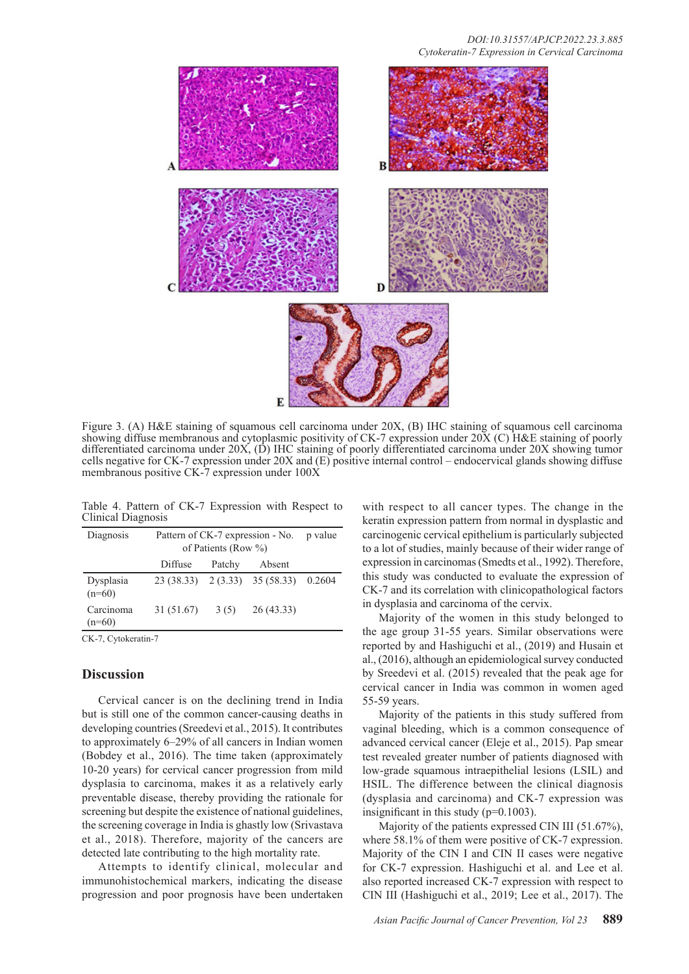

Figure 3. (A) H&E staining of squamous cell carcinoma under 20X, (B) IHC staining of squamous cell carcinoma showing diffuse membranous and cytoplasmic positivity of CK-7 expression under 20X (C) H&E staining of poorly differentiated carcinoma under 20X, (D) IHC staining of poorly differentiated carcinoma under 20X showing tumor cells negative for CK-7 expression under 20X and (E) positive internal control – endocervical glands showing diffuse membranous positive CK-7 expression under  $100X$ 

Table 4. Pattern of CK-7 Expression with Respect to Clinical Diagnosis

| Diagnosis             | Pattern of CK-7 expression - No. p value<br>of Patients (Row $\%$ ) |        |                                       |  |
|-----------------------|---------------------------------------------------------------------|--------|---------------------------------------|--|
|                       | Diffuse                                                             | Patchy | Absent                                |  |
| Dysplasia<br>$(n=60)$ |                                                                     |        | 23 (38.33) 2 (3.33) 35 (58.33) 0.2604 |  |
| Carcinoma<br>$(n=60)$ | $31(51.67)$ $3(5)$                                                  |        | 26(43.33)                             |  |

CK-7, Cytokeratin-7

### **Discussion**

Cervical cancer is on the declining trend in India but is still one of the common cancer-causing deaths in developing countries (Sreedevi et al., 2015). It contributes to approximately 6–29% of all cancers in Indian women (Bobdey et al., 2016). The time taken (approximately 10-20 years) for cervical cancer progression from mild dysplasia to carcinoma, makes it as a relatively early preventable disease, thereby providing the rationale for screening but despite the existence of national guidelines, the screening coverage in India is ghastly low (Srivastava et al., 2018). Therefore, majority of the cancers are detected late contributing to the high mortality rate.

Attempts to identify clinical, molecular and immunohistochemical markers, indicating the disease progression and poor prognosis have been undertaken

with respect to all cancer types. The change in the keratin expression pattern from normal in dysplastic and carcinogenic cervical epithelium is particularly subjected to a lot of studies, mainly because of their wider range of expression in carcinomas (Smedts et al., 1992). Therefore, this study was conducted to evaluate the expression of CK-7 and its correlation with clinicopathological factors in dysplasia and carcinoma of the cervix.

Majority of the women in this study belonged to the age group 31-55 years. Similar observations were reported by and Hashiguchi et al., (2019) and Husain et al., (2016), although an epidemiological survey conducted by Sreedevi et al. (2015) revealed that the peak age for cervical cancer in India was common in women aged 55-59 years.

Majority of the patients in this study suffered from vaginal bleeding, which is a common consequence of advanced cervical cancer (Eleje et al., 2015). Pap smear test revealed greater number of patients diagnosed with low-grade squamous intraepithelial lesions (LSIL) and HSIL. The difference between the clinical diagnosis (dysplasia and carcinoma) and CK-7 expression was insignificant in this study (p=0.1003).

Majority of the patients expressed CIN III (51.67%), where 58.1% of them were positive of CK-7 expression. Majority of the CIN I and CIN II cases were negative for CK-7 expression. Hashiguchi et al. and Lee et al. also reported increased CK-7 expression with respect to CIN III (Hashiguchi et al., 2019; Lee et al., 2017). The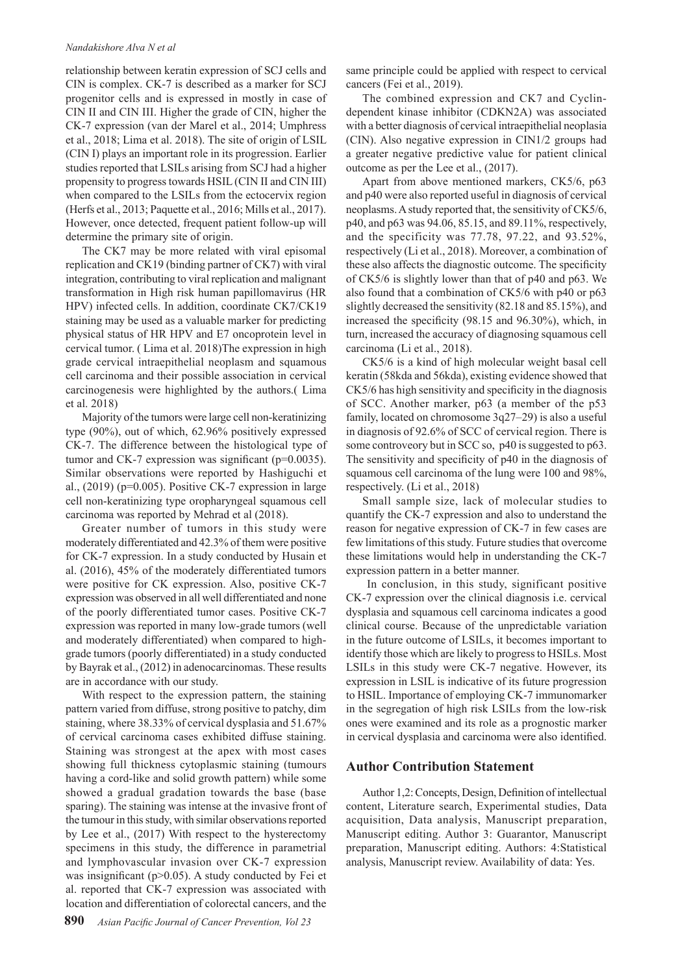#### *Nandakishore Alva N et al*

relationship between keratin expression of SCJ cells and CIN is complex. CK-7 is described as a marker for SCJ progenitor cells and is expressed in mostly in case of CIN II and CIN III. Higher the grade of CIN, higher the CK-7 expression (van der Marel et al., 2014; Umphress et al., 2018; Lima et al. 2018). The site of origin of LSIL (CIN I) plays an important role in its progression. Earlier studies reported that LSILs arising from SCJ had a higher propensity to progress towards HSIL (CIN II and CIN III) when compared to the LSILs from the ectocervix region (Herfs et al., 2013; Paquette et al., 2016; Mills et al., 2017). However, once detected, frequent patient follow-up will determine the primary site of origin.

The CK7 may be more related with viral episomal replication and CK19 (binding partner of CK7) with viral integration, contributing to viral replication and malignant transformation in High risk human papillomavirus (HR HPV) infected cells. In addition, coordinate CK7/CK19 staining may be used as a valuable marker for predicting physical status of HR HPV and E7 oncoprotein level in cervical tumor. ( Lima et al. 2018)The expression in high grade cervical intraepithelial neoplasm and squamous cell carcinoma and their possible association in cervical carcinogenesis were highlighted by the authors.( Lima et al. 2018)

Majority of the tumors were large cell non-keratinizing type (90%), out of which, 62.96% positively expressed CK-7. The difference between the histological type of tumor and CK-7 expression was significant (p=0.0035). Similar observations were reported by Hashiguchi et al.,  $(2019)$  (p=0.005). Positive CK-7 expression in large cell non-keratinizing type oropharyngeal squamous cell carcinoma was reported by Mehrad et al (2018).

Greater number of tumors in this study were moderately differentiated and 42.3% of them were positive for CK-7 expression. In a study conducted by Husain et al. (2016), 45% of the moderately differentiated tumors were positive for CK expression. Also, positive CK-7 expression was observed in all well differentiated and none of the poorly differentiated tumor cases. Positive CK-7 expression was reported in many low-grade tumors (well and moderately differentiated) when compared to highgrade tumors (poorly differentiated) in a study conducted by Bayrak et al., (2012) in adenocarcinomas. These results are in accordance with our study.

With respect to the expression pattern, the staining pattern varied from diffuse, strong positive to patchy, dim staining, where 38.33% of cervical dysplasia and 51.67% of cervical carcinoma cases exhibited diffuse staining. Staining was strongest at the apex with most cases showing full thickness cytoplasmic staining (tumours having a cord-like and solid growth pattern) while some showed a gradual gradation towards the base (base sparing). The staining was intense at the invasive front of the tumour in this study, with similar observations reported by Lee et al., (2017) With respect to the hysterectomy specimens in this study, the difference in parametrial and lymphovascular invasion over CK-7 expression was insignificant ( $p$  $>$ 0.05). A study conducted by Fei et al. reported that CK-7 expression was associated with location and differentiation of colorectal cancers, and the

same principle could be applied with respect to cervical cancers (Fei et al., 2019).

The combined expression and CK7 and Cyclindependent kinase inhibitor (CDKN2A) was associated with a better diagnosis of cervical intraepithelial neoplasia (CIN). Also negative expression in CIN1/2 groups had a greater negative predictive value for patient clinical outcome as per the Lee et al., (2017).

Apart from above mentioned markers, CK5/6, p63 and p40 were also reported useful in diagnosis of cervical neoplasms. A study reported that, the sensitivity of CK5/6, p40, and p63 was 94.06, 85.15, and 89.11%, respectively, and the specificity was 77.78, 97.22, and 93.52%, respectively (Li et al., 2018). Moreover, a combination of these also affects the diagnostic outcome. The specificity of CK5/6 is slightly lower than that of p40 and p63. We also found that a combination of CK5/6 with p40 or p63 slightly decreased the sensitivity (82.18 and 85.15%), and increased the specificity (98.15 and 96.30%), which, in turn, increased the accuracy of diagnosing squamous cell carcinoma (Li et al., 2018).

CK5/6 is a kind of high molecular weight basal cell keratin (58kda and 56kda), existing evidence showed that CK5/6 has high sensitivity and specificity in the diagnosis of SCC. Another marker, p63 (a member of the p53 family, located on chromosome 3q27–29) is also a useful in diagnosis of 92.6% of SCC of cervical region. There is some controveory but in SCC so, p40 is suggested to p63. The sensitivity and specificity of p40 in the diagnosis of squamous cell carcinoma of the lung were 100 and 98%, respectively. (Li et al., 2018)

Small sample size, lack of molecular studies to quantify the CK-7 expression and also to understand the reason for negative expression of CK-7 in few cases are few limitations of this study. Future studies that overcome these limitations would help in understanding the CK-7 expression pattern in a better manner.

 In conclusion, in this study, significant positive CK-7 expression over the clinical diagnosis i.e. cervical dysplasia and squamous cell carcinoma indicates a good clinical course. Because of the unpredictable variation in the future outcome of LSILs, it becomes important to identify those which are likely to progress to HSILs. Most LSILs in this study were CK-7 negative. However, its expression in LSIL is indicative of its future progression to HSIL. Importance of employing CK-7 immunomarker in the segregation of high risk LSILs from the low-risk ones were examined and its role as a prognostic marker in cervical dysplasia and carcinoma were also identified.

## **Author Contribution Statement**

Author 1,2: Concepts, Design, Definition of intellectual content, Literature search, Experimental studies, Data acquisition, Data analysis, Manuscript preparation, Manuscript editing. Author 3: Guarantor, Manuscript preparation, Manuscript editing. Authors: 4:Statistical analysis, Manuscript review. Availability of data: Yes.